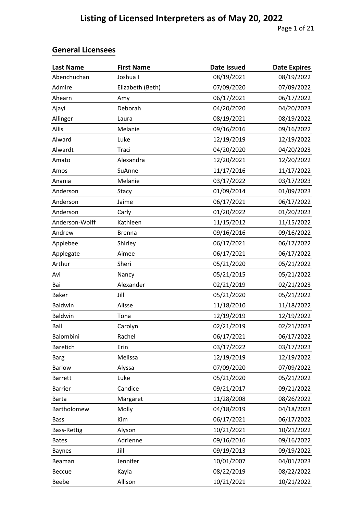| <b>Last Name</b>   | <b>First Name</b> | <b>Date Issued</b> | <b>Date Expires</b> |
|--------------------|-------------------|--------------------|---------------------|
| Abenchuchan        | Joshua I          | 08/19/2021         | 08/19/2022          |
| Admire             | Elizabeth (Beth)  | 07/09/2020         | 07/09/2022          |
| Ahearn             | Amy               | 06/17/2021         | 06/17/2022          |
| Ajayi              | Deborah           | 04/20/2020         | 04/20/2023          |
| Allinger           | Laura             | 08/19/2021         | 08/19/2022          |
| Allis              | Melanie           | 09/16/2016         | 09/16/2022          |
| Alward             | Luke              | 12/19/2019         | 12/19/2022          |
| Alwardt            | Traci             | 04/20/2020         | 04/20/2023          |
| Amato              | Alexandra         | 12/20/2021         | 12/20/2022          |
| Amos               | SuAnne            | 11/17/2016         | 11/17/2022          |
| Anania             | Melanie           | 03/17/2022         | 03/17/2023          |
| Anderson           | Stacy             | 01/09/2014         | 01/09/2023          |
| Anderson           | Jaime             | 06/17/2021         | 06/17/2022          |
| Anderson           | Carly             | 01/20/2022         | 01/20/2023          |
| Anderson-Wolff     | Kathleen          | 11/15/2012         | 11/15/2022          |
| Andrew             | <b>Brenna</b>     | 09/16/2016         | 09/16/2022          |
| Applebee           | Shirley           | 06/17/2021         | 06/17/2022          |
| Applegate          | Aimee             | 06/17/2021         | 06/17/2022          |
| Arthur             | Sheri             | 05/21/2020         | 05/21/2022          |
| Avi                | Nancy             | 05/21/2015         | 05/21/2022          |
| Bai                | Alexander         | 02/21/2019         | 02/21/2023          |
| <b>Baker</b>       | Jill              | 05/21/2020         | 05/21/2022          |
| Baldwin            | Alisse            | 11/18/2010         | 11/18/2022          |
| Baldwin            | Tona              | 12/19/2019         | 12/19/2022          |
| Ball               | Carolyn           | 02/21/2019         | 02/21/2023          |
| Balombini          | Rachel            | 06/17/2021         | 06/17/2022          |
| <b>Baretich</b>    | Erin              | 03/17/2022         | 03/17/2023          |
| <b>Barg</b>        | Melissa           | 12/19/2019         | 12/19/2022          |
| Barlow             | Alyssa            | 07/09/2020         | 07/09/2022          |
| <b>Barrett</b>     | Luke              | 05/21/2020         | 05/21/2022          |
| <b>Barrier</b>     | Candice           | 09/21/2017         | 09/21/2022          |
| <b>Barta</b>       | Margaret          | 11/28/2008         | 08/26/2022          |
| Bartholomew        | Molly             | 04/18/2019         | 04/18/2023          |
| <b>Bass</b>        | Kim               | 06/17/2021         | 06/17/2022          |
| <b>Bass-Rettig</b> | Alyson            | 10/21/2021         | 10/21/2022          |
| <b>Bates</b>       | Adrienne          | 09/16/2016         | 09/16/2022          |
| <b>Baynes</b>      | Jill              | 09/19/2013         | 09/19/2022          |
| Beaman             | Jennifer          | 10/01/2007         | 04/01/2023          |
| Beccue             | Kayla             | 08/22/2019         | 08/22/2022          |
| Beebe              | Allison           | 10/21/2021         | 10/21/2022          |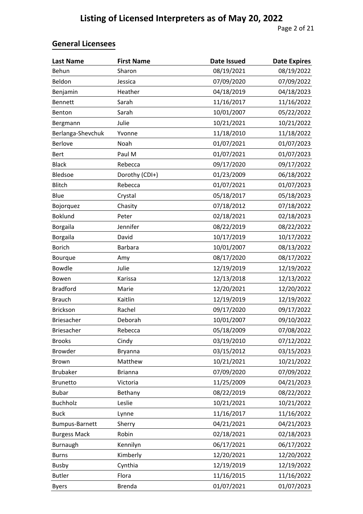| <b>Last Name</b>      | <b>First Name</b> | <b>Date Issued</b> | <b>Date Expires</b> |
|-----------------------|-------------------|--------------------|---------------------|
| Behun                 | Sharon            | 08/19/2021         | 08/19/2022          |
| Beldon                | Jessica           | 07/09/2020         | 07/09/2022          |
| Benjamin              | Heather           | 04/18/2019         | 04/18/2023          |
| Bennett               | Sarah             | 11/16/2017         | 11/16/2022          |
| Benton                | Sarah             | 10/01/2007         | 05/22/2022          |
| Bergmann              | Julie             | 10/21/2021         | 10/21/2022          |
| Berlanga-Shevchuk     | Yvonne            | 11/18/2010         | 11/18/2022          |
| Berlove               | Noah              | 01/07/2021         | 01/07/2023          |
| <b>Bert</b>           | Paul M            | 01/07/2021         | 01/07/2023          |
| <b>Black</b>          | Rebecca           | 09/17/2020         | 09/17/2022          |
| Bledsoe               | Dorothy (CDI+)    | 01/23/2009         | 06/18/2022          |
| <b>Blitch</b>         | Rebecca           | 01/07/2021         | 01/07/2023          |
| Blue                  | Crystal           | 05/18/2017         | 05/18/2023          |
| Bojorquez             | Chasity           | 07/18/2012         | 07/18/2022          |
| <b>Boklund</b>        | Peter             | 02/18/2021         | 02/18/2023          |
| Borgaila              | Jennifer          | 08/22/2019         | 08/22/2022          |
| <b>Borgaila</b>       | David             | 10/17/2019         | 10/17/2022          |
| <b>Borich</b>         | <b>Barbara</b>    | 10/01/2007         | 08/13/2022          |
| Bourque               | Amy               | 08/17/2020         | 08/17/2022          |
| <b>Bowdle</b>         | Julie             | 12/19/2019         | 12/19/2022          |
| Bowen                 | Karissa           | 12/13/2018         | 12/13/2022          |
| <b>Bradford</b>       | Marie             | 12/20/2021         | 12/20/2022          |
| <b>Brauch</b>         | Kaitlin           | 12/19/2019         | 12/19/2022          |
| <b>Brickson</b>       | Rachel            | 09/17/2020         | 09/17/2022          |
| Briesacher            | Deborah           | 10/01/2007         | 09/10/2022          |
| <b>Briesacher</b>     | Rebecca           | 05/18/2009         | 07/08/2022          |
| <b>Brooks</b>         | Cindy             | 03/19/2010         | 07/12/2022          |
| <b>Browder</b>        | Bryanna           | 03/15/2012         | 03/15/2023          |
| Brown                 | Matthew           | 10/21/2021         | 10/21/2022          |
| <b>Brubaker</b>       | <b>Brianna</b>    | 07/09/2020         | 07/09/2022          |
| Brunetto              | Victoria          | 11/25/2009         | 04/21/2023          |
| <b>Bubar</b>          | Bethany           | 08/22/2019         | 08/22/2022          |
| <b>Buchholz</b>       | Leslie            | 10/21/2021         | 10/21/2022          |
| <b>Buck</b>           | Lynne             | 11/16/2017         | 11/16/2022          |
| <b>Bumpus-Barnett</b> | Sherry            | 04/21/2021         | 04/21/2023          |
| <b>Burgess Mack</b>   | Robin             | 02/18/2021         | 02/18/2023          |
| Burnaugh              | Kennilyn          | 06/17/2021         | 06/17/2022          |
| <b>Burns</b>          | Kimberly          | 12/20/2021         | 12/20/2022          |
| <b>Busby</b>          | Cynthia           | 12/19/2019         | 12/19/2022          |
| <b>Butler</b>         | Flora             | 11/16/2015         | 11/16/2022          |
| <b>Byers</b>          | <b>Brenda</b>     | 01/07/2021         | 01/07/2023          |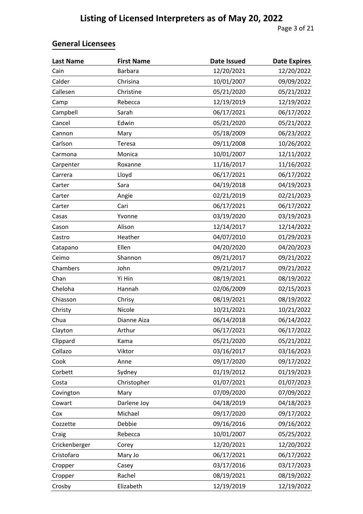| <b>Last Name</b> | <b>First Name</b> | <b>Date Issued</b> | <b>Date Expires</b> |
|------------------|-------------------|--------------------|---------------------|
| Cain             | <b>Barbara</b>    | 12/20/2021         | 12/20/2022          |
| Calder           | Chrisina          | 10/01/2007         | 09/09/2022          |
| Callesen         | Christine         | 05/21/2020         | 05/21/2022          |
| Camp             | Rebecca           | 12/19/2019         | 12/19/2022          |
| Campbell         | Sarah             | 06/17/2021         | 06/17/2022          |
| Cancel           | Edwin             | 05/21/2020         | 05/21/2022          |
| Cannon           | Mary              | 05/18/2009         | 06/23/2022          |
| Carlson          | Teresa            | 09/11/2008         | 10/26/2022          |
| Carmona          | Monica            | 10/01/2007         | 12/11/2022          |
| Carpenter        | Roxanne           | 11/16/2017         | 11/16/2022          |
| Carrera          | Lloyd             | 06/17/2021         | 06/17/2022          |
| Carter           | Sara              | 04/19/2018         | 04/19/2023          |
| Carter           | Angie             | 02/21/2019         | 02/21/2023          |
| Carter           | Cari              | 06/17/2021         | 06/17/2022          |
| Casas            | Yvonne            | 03/19/2020         | 03/19/2023          |
| Cason            | Alison            | 12/14/2017         | 12/14/2022          |
| Castro           | Heather           | 04/07/2010         | 01/29/2023          |
| Catapano         | Ellen             | 04/20/2020         | 04/20/2023          |
| Ceimo            | Shannon           | 09/21/2017         | 09/21/2022          |
| Chambers         | John              | 09/21/2017         | 09/21/2022          |
| Chan             | Yi Hin            | 08/19/2021         | 08/19/2022          |
| Cheloha          | Hannah            | 02/06/2009         | 02/15/2023          |
| Chiasson         | Chrisy            | 08/19/2021         | 08/19/2022          |
| Christy          | Nicole            | 10/21/2021         | 10/21/2022          |
| Chua             | Dianne Aiza       | 06/14/2018         | 06/14/2022          |
| Clayton          | Arthur            | 06/17/2021         | 06/17/2022          |
| Clippard         | Kama              | 05/21/2020         | 05/21/2022          |
| Collazo          | Viktor            | 03/16/2017         | 03/16/2023          |
| Cook             | Anne              | 09/17/2020         | 09/17/2022          |
| Corbett          | Sydney            | 01/19/2012         | 01/19/2023          |
| Costa            | Christopher       | 01/07/2021         | 01/07/2023          |
| Covington        | Mary              | 07/09/2020         | 07/09/2022          |
| Cowart           | Darlene Joy       | 04/18/2019         | 04/18/2023          |
| Cox              | Michael           | 09/17/2020         | 09/17/2022          |
| Cozzette         | Debbie            | 09/16/2016         | 09/16/2022          |
| Craig            | Rebecca           | 10/01/2007         | 05/25/2022          |
| Crickenberger    | Corey             | 12/20/2021         | 12/20/2022          |
| Cristofaro       | Mary Jo           | 06/17/2021         | 06/17/2022          |
| Cropper          | Casey             | 03/17/2016         | 03/17/2023          |
| Cropper          | Rachel            | 08/19/2021         | 08/19/2022          |
| Crosby           | Elizabeth         | 12/19/2019         | 12/19/2022          |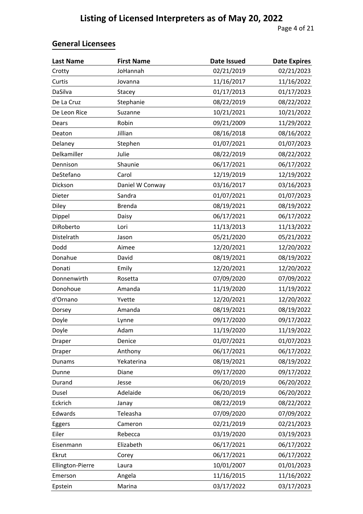| <b>Last Name</b> | <b>First Name</b> | <b>Date Issued</b> | <b>Date Expires</b> |
|------------------|-------------------|--------------------|---------------------|
| Crotty           | JoHannah          | 02/21/2019         | 02/21/2023          |
| Curtis           | Jovanna           | 11/16/2017         | 11/16/2022          |
| DaSilva          | Stacey            | 01/17/2013         | 01/17/2023          |
| De La Cruz       | Stephanie         | 08/22/2019         | 08/22/2022          |
| De Leon Rice     | Suzanne           | 10/21/2021         | 10/21/2022          |
| Dears            | Robin             | 09/21/2009         | 11/29/2022          |
| Deaton           | Jillian           | 08/16/2018         | 08/16/2022          |
| Delaney          | Stephen           | 01/07/2021         | 01/07/2023          |
| Delkamiller      | Julie             | 08/22/2019         | 08/22/2022          |
| Dennison         | Shaunie           | 06/17/2021         | 06/17/2022          |
| DeStefano        | Carol             | 12/19/2019         | 12/19/2022          |
| Dickson          | Daniel W Conway   | 03/16/2017         | 03/16/2023          |
| Dieter           | Sandra            | 01/07/2021         | 01/07/2023          |
| Diley            | <b>Brenda</b>     | 08/19/2021         | 08/19/2022          |
| Dippel           | Daisy             | 06/17/2021         | 06/17/2022          |
| DiRoberto        | Lori              | 11/13/2013         | 11/13/2022          |
| Distelrath       | Jason             | 05/21/2020         | 05/21/2022          |
| Dodd             | Aimee             | 12/20/2021         | 12/20/2022          |
| Donahue          | David             | 08/19/2021         | 08/19/2022          |
| Donati           | Emily             | 12/20/2021         | 12/20/2022          |
| Donnenwirth      | Rosetta           | 07/09/2020         | 07/09/2022          |
| Donohoue         | Amanda            | 11/19/2020         | 11/19/2022          |
| d'Ornano         | Yvette            | 12/20/2021         | 12/20/2022          |
| Dorsey           | Amanda            | 08/19/2021         | 08/19/2022          |
| Doyle            | Lynne             | 09/17/2020         | 09/17/2022          |
| Doyle            | Adam              | 11/19/2020         | 11/19/2022          |
| Draper           | Denice            | 01/07/2021         | 01/07/2023          |
| Draper           | Anthony           | 06/17/2021         | 06/17/2022          |
| Dunams           | Yekaterina        | 08/19/2021         | 08/19/2022          |
| Dunne            | Diane             | 09/17/2020         | 09/17/2022          |
| Durand           | Jesse             | 06/20/2019         | 06/20/2022          |
| Dusel            | Adelaide          | 06/20/2019         | 06/20/2022          |
| Eckrich          | Janay             | 08/22/2019         | 08/22/2022          |
| Edwards          | Teleasha          | 07/09/2020         | 07/09/2022          |
| Eggers           | Cameron           | 02/21/2019         | 02/21/2023          |
| Eiler            | Rebecca           | 03/19/2020         | 03/19/2023          |
| Eisenmann        | Elizabeth         | 06/17/2021         | 06/17/2022          |
| Ekrut            | Corey             | 06/17/2021         | 06/17/2022          |
| Ellington-Pierre | Laura             | 10/01/2007         | 01/01/2023          |
| Emerson          | Angela            | 11/16/2015         | 11/16/2022          |
| Epstein          | Marina            | 03/17/2022         | 03/17/2023          |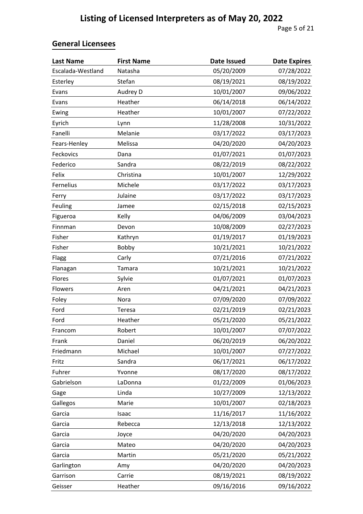| <b>Last Name</b>  | <b>First Name</b> | <b>Date Issued</b> | <b>Date Expires</b> |
|-------------------|-------------------|--------------------|---------------------|
| Escalada-Westland | Natasha           | 05/20/2009         | 07/28/2022          |
| Esterley          | Stefan            | 08/19/2021         | 08/19/2022          |
| Evans             | Audrey D          | 10/01/2007         | 09/06/2022          |
| Evans             | Heather           | 06/14/2018         | 06/14/2022          |
| Ewing             | Heather           | 10/01/2007         | 07/22/2022          |
| Eyrich            | Lynn              | 11/28/2008         | 10/31/2022          |
| Fanelli           | Melanie           | 03/17/2022         | 03/17/2023          |
| Fears-Henley      | Melissa           | 04/20/2020         | 04/20/2023          |
| Feckovics         | Dana              | 01/07/2021         | 01/07/2023          |
| Federico          | Sandra            | 08/22/2019         | 08/22/2022          |
| Felix             | Christina         | 10/01/2007         | 12/29/2022          |
| Fernelius         | Michele           | 03/17/2022         | 03/17/2023          |
| Ferry             | Julaine           | 03/17/2022         | 03/17/2023          |
| Feuling           | Jamee             | 02/15/2018         | 02/15/2023          |
| Figueroa          | Kelly             | 04/06/2009         | 03/04/2023          |
| Finnman           | Devon             | 10/08/2009         | 02/27/2023          |
| Fisher            | Kathryn           | 01/19/2017         | 01/19/2023          |
| Fisher            | Bobby             | 10/21/2021         | 10/21/2022          |
| Flagg             | Carly             | 07/21/2016         | 07/21/2022          |
| Flanagan          | Tamara            | 10/21/2021         | 10/21/2022          |
| Flores            | Sylvie            | 01/07/2021         | 01/07/2023          |
| Flowers           | Aren              | 04/21/2021         | 04/21/2023          |
| Foley             | Nora              | 07/09/2020         | 07/09/2022          |
| Ford              | Teresa            | 02/21/2019         | 02/21/2023          |
| Ford              | Heather           | 05/21/2020         | 05/21/2022          |
| Francom           | Robert            | 10/01/2007         | 07/07/2022          |
| Frank             | Daniel            | 06/20/2019         | 06/20/2022          |
| Friedmann         | Michael           | 10/01/2007         | 07/27/2022          |
| Fritz             | Sandra            | 06/17/2021         | 06/17/2022          |
| Fuhrer            | Yvonne            | 08/17/2020         | 08/17/2022          |
| Gabrielson        | LaDonna           | 01/22/2009         | 01/06/2023          |
| Gage              | Linda             | 10/27/2009         | 12/13/2022          |
| Gallegos          | Marie             | 10/01/2007         | 02/18/2023          |
| Garcia            | Isaac             | 11/16/2017         | 11/16/2022          |
| Garcia            | Rebecca           | 12/13/2018         | 12/13/2022          |
| Garcia            | Joyce             | 04/20/2020         | 04/20/2023          |
| Garcia            | Mateo             | 04/20/2020         | 04/20/2023          |
| Garcia            | Martin            | 05/21/2020         | 05/21/2022          |
| Garlington        | Amy               | 04/20/2020         | 04/20/2023          |
| Garrison          | Carrie            | 08/19/2021         | 08/19/2022          |
| Geisser           | Heather           | 09/16/2016         | 09/16/2022          |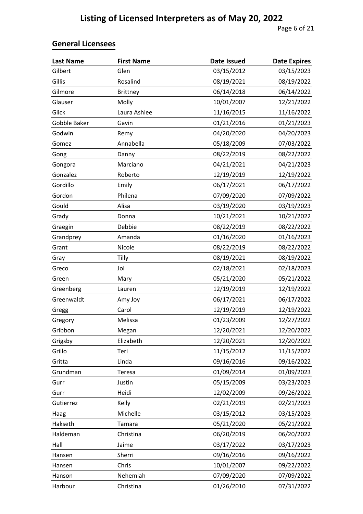| <b>Last Name</b> | <b>First Name</b> | <b>Date Issued</b> | <b>Date Expires</b> |
|------------------|-------------------|--------------------|---------------------|
| Gilbert          | Glen              | 03/15/2012         | 03/15/2023          |
| Gillis           | Rosalind          | 08/19/2021         | 08/19/2022          |
| Gilmore          | <b>Brittney</b>   | 06/14/2018         | 06/14/2022          |
| Glauser          | Molly             | 10/01/2007         | 12/21/2022          |
| Glick            | Laura Ashlee      | 11/16/2015         | 11/16/2022          |
| Gobble Baker     | Gavin             | 01/21/2016         | 01/21/2023          |
| Godwin           | Remy              | 04/20/2020         | 04/20/2023          |
| Gomez            | Annabella         | 05/18/2009         | 07/03/2022          |
| Gong             | Danny             | 08/22/2019         | 08/22/2022          |
| Gongora          | Marciano          | 04/21/2021         | 04/21/2023          |
| Gonzalez         | Roberto           | 12/19/2019         | 12/19/2022          |
| Gordillo         | Emily             | 06/17/2021         | 06/17/2022          |
| Gordon           | Philena           | 07/09/2020         | 07/09/2022          |
| Gould            | Alisa             | 03/19/2020         | 03/19/2023          |
| Grady            | Donna             | 10/21/2021         | 10/21/2022          |
| Graegin          | Debbie            | 08/22/2019         | 08/22/2022          |
| Grandprey        | Amanda            | 01/16/2020         | 01/16/2023          |
| Grant            | Nicole            | 08/22/2019         | 08/22/2022          |
| Gray             | Tilly             | 08/19/2021         | 08/19/2022          |
| Greco            | Joi               | 02/18/2021         | 02/18/2023          |
| Green            | Mary              | 05/21/2020         | 05/21/2022          |
| Greenberg        | Lauren            | 12/19/2019         | 12/19/2022          |
| Greenwaldt       | Amy Joy           | 06/17/2021         | 06/17/2022          |
| Gregg            | Carol             | 12/19/2019         | 12/19/2022          |
| Gregory          | Melissa           | 01/23/2009         | 12/27/2022          |
| Gribbon          | Megan             | 12/20/2021         | 12/20/2022          |
| Grigsby          | Elizabeth         | 12/20/2021         | 12/20/2022          |
| Grillo           | Teri              | 11/15/2012         | 11/15/2022          |
| Gritta           | Linda             | 09/16/2016         | 09/16/2022          |
| Grundman         | Teresa            | 01/09/2014         | 01/09/2023          |
| Gurr             | Justin            | 05/15/2009         | 03/23/2023          |
| Gurr             | Heidi             | 12/02/2009         | 09/26/2022          |
| Gutierrez        | Kelly             | 02/21/2019         | 02/21/2023          |
| Haag             | Michelle          | 03/15/2012         | 03/15/2023          |
| Hakseth          | Tamara            | 05/21/2020         | 05/21/2022          |
| Haldeman         | Christina         | 06/20/2019         | 06/20/2022          |
| Hall             | Jaime             | 03/17/2022         | 03/17/2023          |
| Hansen           | Sherri            | 09/16/2016         | 09/16/2022          |
| Hansen           | Chris             | 10/01/2007         | 09/22/2022          |
| Hanson           | Nehemiah          | 07/09/2020         | 07/09/2022          |
| Harbour          | Christina         | 01/26/2010         | 07/31/2022          |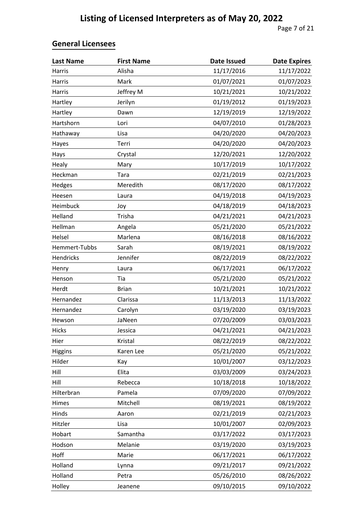| <b>Last Name</b> | <b>First Name</b> | <b>Date Issued</b> | <b>Date Expires</b> |
|------------------|-------------------|--------------------|---------------------|
| Harris           | Alisha            | 11/17/2016         | 11/17/2022          |
| Harris           | Mark              | 01/07/2021         | 01/07/2023          |
| Harris           | Jeffrey M         | 10/21/2021         | 10/21/2022          |
| Hartley          | Jerilyn           | 01/19/2012         | 01/19/2023          |
| Hartley          | Dawn              | 12/19/2019         | 12/19/2022          |
| Hartshorn        | Lori              | 04/07/2010         | 01/28/2023          |
| Hathaway         | Lisa              | 04/20/2020         | 04/20/2023          |
| Hayes            | Terri             | 04/20/2020         | 04/20/2023          |
| Hays             | Crystal           | 12/20/2021         | 12/20/2022          |
| Healy            | Mary              | 10/17/2019         | 10/17/2022          |
| Heckman          | Tara              | 02/21/2019         | 02/21/2023          |
| Hedges           | Meredith          | 08/17/2020         | 08/17/2022          |
| Heesen           | Laura             | 04/19/2018         | 04/19/2023          |
| Heimbuck         | Joy               | 04/18/2019         | 04/18/2023          |
| Helland          | Trisha            | 04/21/2021         | 04/21/2023          |
| Hellman          | Angela            | 05/21/2020         | 05/21/2022          |
| Helsel           | Marlena           | 08/16/2018         | 08/16/2022          |
| Hemmert-Tubbs    | Sarah             | 08/19/2021         | 08/19/2022          |
| Hendricks        | Jennifer          | 08/22/2019         | 08/22/2022          |
| Henry            | Laura             | 06/17/2021         | 06/17/2022          |
| Henson           | Tia               | 05/21/2020         | 05/21/2022          |
| Herdt            | <b>Brian</b>      | 10/21/2021         | 10/21/2022          |
| Hernandez        | Clarissa          | 11/13/2013         | 11/13/2022          |
| Hernandez        | Carolyn           | 03/19/2020         | 03/19/2023          |
| Hewson           | JaNeen            | 07/20/2009         | 03/03/2023          |
| Hicks            | Jessica           | 04/21/2021         | 04/21/2023          |
| Hier             | Kristal           | 08/22/2019         | 08/22/2022          |
| Higgins          | Karen Lee         | 05/21/2020         | 05/21/2022          |
| Hilder           | Kay               | 10/01/2007         | 03/12/2023          |
| Hill             | Elita             | 03/03/2009         | 03/24/2023          |
| Hill             | Rebecca           | 10/18/2018         | 10/18/2022          |
| Hilterbran       | Pamela            | 07/09/2020         | 07/09/2022          |
| Himes            | Mitchell          | 08/19/2021         | 08/19/2022          |
| Hinds            | Aaron             | 02/21/2019         | 02/21/2023          |
| Hitzler          | Lisa              | 10/01/2007         | 02/09/2023          |
| Hobart           | Samantha          | 03/17/2022         | 03/17/2023          |
| Hodson           | Melanie           | 03/19/2020         | 03/19/2023          |
| Hoff             | Marie             | 06/17/2021         | 06/17/2022          |
| Holland          | Lynna             | 09/21/2017         | 09/21/2022          |
| Holland          | Petra             | 05/26/2010         | 08/26/2022          |
| Holley           | Jeanene           | 09/10/2015         | 09/10/2022          |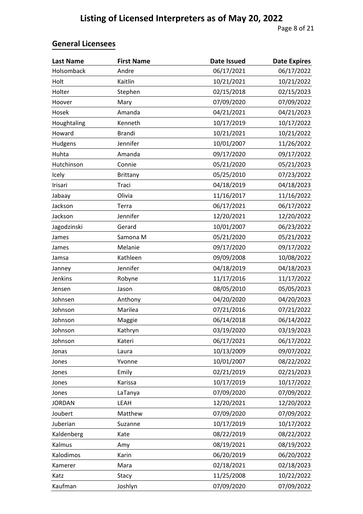| <b>Last Name</b> | <b>First Name</b> | <b>Date Issued</b> | <b>Date Expires</b> |
|------------------|-------------------|--------------------|---------------------|
| Holsomback       | Andre             | 06/17/2021         | 06/17/2022          |
| Holt             | Kaitlin           | 10/21/2021         | 10/21/2022          |
| Holter           | Stephen           | 02/15/2018         | 02/15/2023          |
| Hoover           | Mary              | 07/09/2020         | 07/09/2022          |
| Hosek            | Amanda            | 04/21/2021         | 04/21/2023          |
| Houghtaling      | Kenneth           | 10/17/2019         | 10/17/2022          |
| Howard           | <b>Brandi</b>     | 10/21/2021         | 10/21/2022          |
| Hudgens          | Jennifer          | 10/01/2007         | 11/26/2022          |
| Huhta            | Amanda            | 09/17/2020         | 09/17/2022          |
| Hutchinson       | Connie            | 05/21/2020         | 05/21/2023          |
| Icely            | <b>Brittany</b>   | 05/25/2010         | 07/23/2022          |
| Irisari          | Traci             | 04/18/2019         | 04/18/2023          |
| Jabaay           | Olivia            | 11/16/2017         | 11/16/2022          |
| Jackson          | Terra             | 06/17/2021         | 06/17/2022          |
| Jackson          | Jennifer          | 12/20/2021         | 12/20/2022          |
| Jagodzinski      | Gerard            | 10/01/2007         | 06/23/2022          |
| James            | Samona M          | 05/21/2020         | 05/21/2022          |
| James            | Melanie           | 09/17/2020         | 09/17/2022          |
| Jamsa            | Kathleen          | 09/09/2008         | 10/08/2022          |
| Janney           | Jennifer          | 04/18/2019         | 04/18/2023          |
| Jenkins          | Robyne            | 11/17/2016         | 11/17/2022          |
| Jensen           | Jason             | 08/05/2010         | 05/05/2023          |
| Johnsen          | Anthony           | 04/20/2020         | 04/20/2023          |
| Johnson          | Marilea           | 07/21/2016         | 07/21/2022          |
| Johnson          | Maggie            | 06/14/2018         | 06/14/2022          |
| Johnson          | Kathryn           | 03/19/2020         | 03/19/2023          |
| Johnson          | Kateri            | 06/17/2021         | 06/17/2022          |
| Jonas            | Laura             | 10/13/2009         | 09/07/2022          |
| Jones            | Yvonne            | 10/01/2007         | 08/22/2022          |
| Jones            | Emily             | 02/21/2019         | 02/21/2023          |
| Jones            | Karissa           | 10/17/2019         | 10/17/2022          |
| Jones            | LaTanya           | 07/09/2020         | 07/09/2022          |
| <b>JORDAN</b>    | LEAH              | 12/20/2021         | 12/20/2022          |
| Joubert          | Matthew           | 07/09/2020         | 07/09/2022          |
| Juberian         | Suzanne           | 10/17/2019         | 10/17/2022          |
| Kaldenberg       | Kate              | 08/22/2019         | 08/22/2022          |
| Kalmus           | Amy               | 08/19/2021         | 08/19/2022          |
| Kalodimos        | Karin             | 06/20/2019         | 06/20/2022          |
| Kamerer          | Mara              | 02/18/2021         | 02/18/2023          |
| Katz             | Stacy             | 11/25/2008         | 10/22/2022          |
| Kaufman          | Joshlyn           | 07/09/2020         | 07/09/2022          |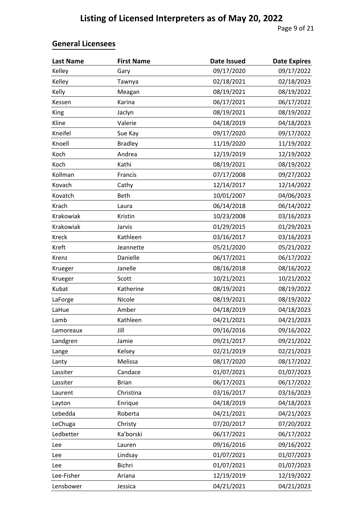| <b>Last Name</b> | <b>First Name</b> | <b>Date Issued</b> | <b>Date Expires</b> |
|------------------|-------------------|--------------------|---------------------|
| Kelley           | Gary              | 09/17/2020         | 09/17/2022          |
| Kelley           | Tawnya            | 02/18/2021         | 02/18/2023          |
| Kelly            | Meagan            | 08/19/2021         | 08/19/2022          |
| Kessen           | Karina            | 06/17/2021         | 06/17/2022          |
| <b>King</b>      | Jaclyn            | 08/19/2021         | 08/19/2022          |
| Kline            | Valerie           | 04/18/2019         | 04/18/2023          |
| Kneifel          | Sue Kay           | 09/17/2020         | 09/17/2022          |
| Knoell           | <b>Bradley</b>    | 11/19/2020         | 11/19/2022          |
| Koch             | Andrea            | 12/19/2019         | 12/19/2022          |
| Koch             | Kathi             | 08/19/2021         | 08/19/2022          |
| Kollman          | Francis           | 07/17/2008         | 09/27/2022          |
| Kovach           | Cathy             | 12/14/2017         | 12/14/2022          |
| Kovatch          | Beth              | 10/01/2007         | 04/06/2023          |
| Krach            | Laura             | 06/14/2018         | 06/14/2022          |
| Krakowiak        | Kristin           | 10/23/2008         | 03/16/2023          |
| Krakowiak        | Jarvis            | 01/29/2015         | 01/29/2023          |
| Kreck            | Kathleen          | 03/16/2017         | 03/16/2023          |
| Kreft            | Jeannette         | 05/21/2020         | 05/21/2022          |
| Krenz            | Danielle          | 06/17/2021         | 06/17/2022          |
| Krueger          | Janelle           | 08/16/2018         | 08/16/2022          |
| Krueger          | Scott             | 10/21/2021         | 10/21/2022          |
| Kubat            | Katherine         | 08/19/2021         | 08/19/2022          |
| LaForge          | Nicole            | 08/19/2021         | 08/19/2022          |
| LaHue            | Amber             | 04/18/2019         | 04/18/2023          |
| Lamb             | Kathleen          | 04/21/2021         | 04/21/2023          |
| Lamoreaux        | Jill              | 09/16/2016         | 09/16/2022          |
| Landgren         | Jamie             | 09/21/2017         | 09/21/2022          |
| Lange            | Kelsey            | 02/21/2019         | 02/21/2023          |
| Lanty            | Melissa           | 08/17/2020         | 08/17/2022          |
| Lassiter         | Candace           | 01/07/2021         | 01/07/2023          |
| Lassiter         | <b>Brian</b>      | 06/17/2021         | 06/17/2022          |
| Laurent          | Christina         | 03/16/2017         | 03/16/2023          |
| Layton           | Enrique           | 04/18/2019         | 04/18/2023          |
| Lebedda          | Roberta           | 04/21/2021         | 04/21/2023          |
| LeChuga          | Christy           | 07/20/2017         | 07/20/2022          |
| Ledbetter        | Ka'borski         | 06/17/2021         | 06/17/2022          |
| Lee              | Lauren            | 09/16/2016         | 09/16/2022          |
| Lee              | Lindsay           | 01/07/2021         | 01/07/2023          |
| Lee              | Bichri            | 01/07/2021         | 01/07/2023          |
| Lee-Fisher       | Ariana            | 12/19/2019         | 12/19/2022          |
| Lensbower        | Jessica           | 04/21/2021         | 04/21/2023          |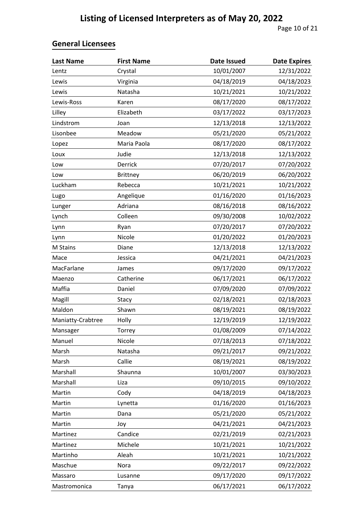| <b>Last Name</b>  | <b>First Name</b> | <b>Date Issued</b> | <b>Date Expires</b> |
|-------------------|-------------------|--------------------|---------------------|
| Lentz             | Crystal           | 10/01/2007         | 12/31/2022          |
| Lewis             | Virginia          | 04/18/2019         | 04/18/2023          |
| Lewis             | Natasha           | 10/21/2021         | 10/21/2022          |
| Lewis-Ross        | Karen             | 08/17/2020         | 08/17/2022          |
| Lilley            | Elizabeth         | 03/17/2022         | 03/17/2023          |
| Lindstrom         | Joan              | 12/13/2018         | 12/13/2022          |
| Lisonbee          | Meadow            | 05/21/2020         | 05/21/2022          |
| Lopez             | Maria Paola       | 08/17/2020         | 08/17/2022          |
| Loux              | Judie             | 12/13/2018         | 12/13/2022          |
| Low               | Derrick           | 07/20/2017         | 07/20/2022          |
| Low               | <b>Brittney</b>   | 06/20/2019         | 06/20/2022          |
| Luckham           | Rebecca           | 10/21/2021         | 10/21/2022          |
| Lugo              | Angelique         | 01/16/2020         | 01/16/2023          |
| Lunger            | Adriana           | 08/16/2018         | 08/16/2022          |
| Lynch             | Colleen           | 09/30/2008         | 10/02/2022          |
| Lynn              | Ryan              | 07/20/2017         | 07/20/2022          |
| Lynn              | Nicole            | 01/20/2022         | 01/20/2023          |
| M Stains          | Diane             | 12/13/2018         | 12/13/2022          |
| Mace              | Jessica           | 04/21/2021         | 04/21/2023          |
| MacFarlane        | James             | 09/17/2020         | 09/17/2022          |
| Maenzo            | Catherine         | 06/17/2021         | 06/17/2022          |
| Maffia            | Daniel            | 07/09/2020         | 07/09/2022          |
| Magill            | Stacy             | 02/18/2021         | 02/18/2023          |
| Maldon            | Shawn             | 08/19/2021         | 08/19/2022          |
| Maniatty-Crabtree | Holly             | 12/19/2019         | 12/19/2022          |
| Mansager          | Torrey            | 01/08/2009         | 07/14/2022          |
| Manuel            | Nicole            | 07/18/2013         | 07/18/2022          |
| Marsh             | Natasha           | 09/21/2017         | 09/21/2022          |
| Marsh             | Callie            | 08/19/2021         | 08/19/2022          |
| Marshall          | Shaunna           | 10/01/2007         | 03/30/2023          |
| Marshall          | Liza              | 09/10/2015         | 09/10/2022          |
| Martin            | Cody              | 04/18/2019         | 04/18/2023          |
| Martin            | Lynetta           | 01/16/2020         | 01/16/2023          |
| Martin            | Dana              | 05/21/2020         | 05/21/2022          |
| Martin            | Joy               | 04/21/2021         | 04/21/2023          |
| Martinez          | Candice           | 02/21/2019         | 02/21/2023          |
| Martinez          | Michele           | 10/21/2021         | 10/21/2022          |
| Martinho          | Aleah             | 10/21/2021         | 10/21/2022          |
| Maschue           | Nora              | 09/22/2017         | 09/22/2022          |
| Massaro           | Lusanne           | 09/17/2020         | 09/17/2022          |
| Mastromonica      | Tanya             | 06/17/2021         | 06/17/2022          |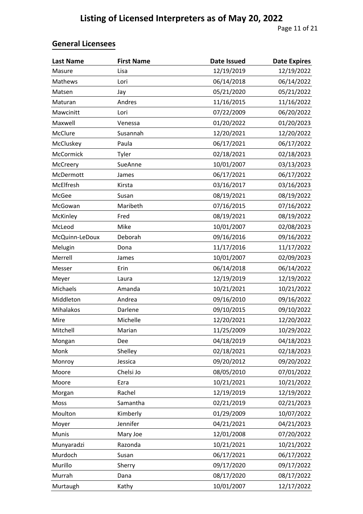| <b>Last Name</b> | <b>First Name</b> | <b>Date Issued</b> | <b>Date Expires</b> |
|------------------|-------------------|--------------------|---------------------|
| Masure           | Lisa              | 12/19/2019         | 12/19/2022          |
| Mathews          | Lori              | 06/14/2018         | 06/14/2022          |
| Matsen           | Jay               | 05/21/2020         | 05/21/2022          |
| Maturan          | Andres            | 11/16/2015         | 11/16/2022          |
| Mawcinitt        | Lori              | 07/22/2009         | 06/20/2022          |
| Maxwell          | Venessa           | 01/20/2022         | 01/20/2023          |
| <b>McClure</b>   | Susannah          | 12/20/2021         | 12/20/2022          |
| McCluskey        | Paula             | 06/17/2021         | 06/17/2022          |
| McCormick        | Tyler             | 02/18/2021         | 02/18/2023          |
| McCreery         | SueAnne           | 10/01/2007         | 03/13/2023          |
| McDermott        | James             | 06/17/2021         | 06/17/2022          |
| McElfresh        | Kirsta            | 03/16/2017         | 03/16/2023          |
| McGee            | Susan             | 08/19/2021         | 08/19/2022          |
| McGowan          | Maribeth          | 07/16/2015         | 07/16/2022          |
| McKinley         | Fred              | 08/19/2021         | 08/19/2022          |
| McLeod           | Mike              | 10/01/2007         | 02/08/2023          |
| McQuinn-LeDoux   | Deborah           | 09/16/2016         | 09/16/2022          |
| Melugin          | Dona              | 11/17/2016         | 11/17/2022          |
| Merrell          | James             | 10/01/2007         | 02/09/2023          |
| Messer           | Erin              | 06/14/2018         | 06/14/2022          |
| Meyer            | Laura             | 12/19/2019         | 12/19/2022          |
| Michaels         | Amanda            | 10/21/2021         | 10/21/2022          |
| Middleton        | Andrea            | 09/16/2010         | 09/16/2022          |
| Mihalakos        | Darlene           | 09/10/2015         | 09/10/2022          |
| Mire             | Michelle          | 12/20/2021         | 12/20/2022          |
| Mitchell         | Marian            | 11/25/2009         | 10/29/2022          |
| Mongan           | Dee               | 04/18/2019         | 04/18/2023          |
| Monk             | Shelley           | 02/18/2021         | 02/18/2023          |
| Monroy           | Jessica           | 09/20/2012         | 09/20/2022          |
| Moore            | Chelsi Jo         | 08/05/2010         | 07/01/2022          |
| Moore            | Ezra              | 10/21/2021         | 10/21/2022          |
| Morgan           | Rachel            | 12/19/2019         | 12/19/2022          |
| Moss             | Samantha          | 02/21/2019         | 02/21/2023          |
| Moulton          | Kimberly          | 01/29/2009         | 10/07/2022          |
| Moyer            | Jennifer          | 04/21/2021         | 04/21/2023          |
| <b>Munis</b>     | Mary Joe          | 12/01/2008         | 07/20/2022          |
| Munyaradzi       | Razonda           | 10/21/2021         | 10/21/2022          |
| Murdoch          | Susan             | 06/17/2021         | 06/17/2022          |
| Murillo          | Sherry            | 09/17/2020         | 09/17/2022          |
| Murrah           | Dana              | 08/17/2020         | 08/17/2022          |
| Murtaugh         | Kathy             | 10/01/2007         | 12/17/2022          |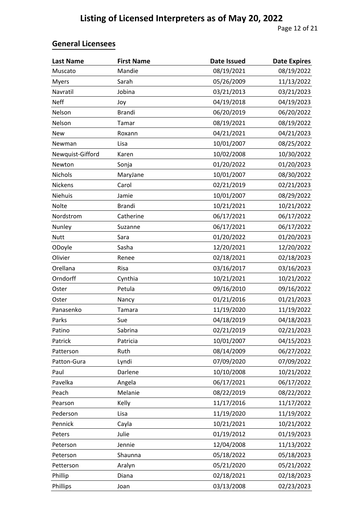| <b>Last Name</b> | <b>First Name</b> | <b>Date Issued</b> | <b>Date Expires</b> |
|------------------|-------------------|--------------------|---------------------|
| Muscato          | Mandie            | 08/19/2021         | 08/19/2022          |
| <b>Myers</b>     | Sarah             | 05/26/2009         | 11/13/2022          |
| Navratil         | Jobina            | 03/21/2013         | 03/21/2023          |
| <b>Neff</b>      | Joy               | 04/19/2018         | 04/19/2023          |
| Nelson           | <b>Brandi</b>     | 06/20/2019         | 06/20/2022          |
| Nelson           | Tamar             | 08/19/2021         | 08/19/2022          |
| <b>New</b>       | Roxann            | 04/21/2021         | 04/21/2023          |
| Newman           | Lisa              | 10/01/2007         | 08/25/2022          |
| Newquist-Gifford | Karen             | 10/02/2008         | 10/30/2022          |
| Newton           | Sonja             | 01/20/2022         | 01/20/2023          |
| Nichols          | MaryJane          | 10/01/2007         | 08/30/2022          |
| Nickens          | Carol             | 02/21/2019         | 02/21/2023          |
| Niehuis          | Jamie             | 10/01/2007         | 08/29/2022          |
| Nolte            | <b>Brandi</b>     | 10/21/2021         | 10/21/2022          |
| Nordstrom        | Catherine         | 06/17/2021         | 06/17/2022          |
| Nunley           | Suzanne           | 06/17/2021         | 06/17/2022          |
| <b>Nutt</b>      | Sara              | 01/20/2022         | 01/20/2023          |
| ODoyle           | Sasha             | 12/20/2021         | 12/20/2022          |
| Olivier          | Renee             | 02/18/2021         | 02/18/2023          |
| Orellana         | Risa              | 03/16/2017         | 03/16/2023          |
| Orndorff         | Cynthia           | 10/21/2021         | 10/21/2022          |
| Oster            | Petula            | 09/16/2010         | 09/16/2022          |
| Oster            | Nancy             | 01/21/2016         | 01/21/2023          |
| Panasenko        | Tamara            | 11/19/2020         | 11/19/2022          |
| Parks            | Sue               | 04/18/2019         | 04/18/2023          |
| Patino           | Sabrina           | 02/21/2019         | 02/21/2023          |
| Patrick          | Patricia          | 10/01/2007         | 04/15/2023          |
| Patterson        | Ruth              | 08/14/2009         | 06/27/2022          |
| Patton-Gura      | Lyndi             | 07/09/2020         | 07/09/2022          |
| Paul             | Darlene           | 10/10/2008         | 10/21/2022          |
| Pavelka          | Angela            | 06/17/2021         | 06/17/2022          |
| Peach            | Melanie           | 08/22/2019         | 08/22/2022          |
| Pearson          | Kelly             | 11/17/2016         | 11/17/2022          |
| Pederson         | Lisa              | 11/19/2020         | 11/19/2022          |
| Pennick          | Cayla             | 10/21/2021         | 10/21/2022          |
| Peters           | Julie             | 01/19/2012         | 01/19/2023          |
| Peterson         | Jennie            | 12/04/2008         | 11/13/2022          |
| Peterson         | Shaunna           | 05/18/2022         | 05/18/2023          |
| Petterson        | Aralyn            | 05/21/2020         | 05/21/2022          |
| Phillip          | Diana             | 02/18/2021         | 02/18/2023          |
| Phillips         | Joan              | 03/13/2008         | 02/23/2023          |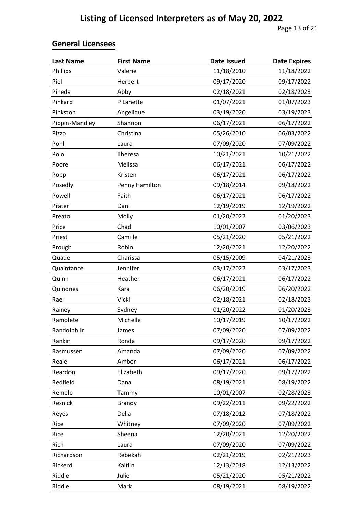| <b>Last Name</b> | <b>First Name</b> | <b>Date Issued</b> | <b>Date Expires</b> |
|------------------|-------------------|--------------------|---------------------|
| Phillips         | Valerie           | 11/18/2010         | 11/18/2022          |
| Piel             | Herbert           | 09/17/2020         | 09/17/2022          |
| Pineda           | Abby              | 02/18/2021         | 02/18/2023          |
| Pinkard          | P Lanette         | 01/07/2021         | 01/07/2023          |
| Pinkston         | Angelique         | 03/19/2020         | 03/19/2023          |
| Pippin-Mandley   | Shannon           | 06/17/2021         | 06/17/2022          |
| Pizzo            | Christina         | 05/26/2010         | 06/03/2022          |
| Pohl             | Laura             | 07/09/2020         | 07/09/2022          |
| Polo             | Theresa           | 10/21/2021         | 10/21/2022          |
| Poore            | Melissa           | 06/17/2021         | 06/17/2022          |
| Popp             | Kristen           | 06/17/2021         | 06/17/2022          |
| Posedly          | Penny Hamilton    | 09/18/2014         | 09/18/2022          |
| Powell           | Faith             | 06/17/2021         | 06/17/2022          |
| Prater           | Dani              | 12/19/2019         | 12/19/2022          |
| Preato           | Molly             | 01/20/2022         | 01/20/2023          |
| Price            | Chad              | 10/01/2007         | 03/06/2023          |
| Priest           | Camille           | 05/21/2020         | 05/21/2022          |
| Prough           | Robin             | 12/20/2021         | 12/20/2022          |
| Quade            | Charissa          | 05/15/2009         | 04/21/2023          |
| Quaintance       | Jennifer          | 03/17/2022         | 03/17/2023          |
| Quinn            | Heather           | 06/17/2021         | 06/17/2022          |
| Quinones         | Kara              | 06/20/2019         | 06/20/2022          |
| Rael             | Vicki             | 02/18/2021         | 02/18/2023          |
| Rainey           | Sydney            | 01/20/2022         | 01/20/2023          |
| Ramolete         | Michelle          | 10/17/2019         | 10/17/2022          |
| Randolph Jr      | James             | 07/09/2020         | 07/09/2022          |
| Rankin           | Ronda             | 09/17/2020         | 09/17/2022          |
| Rasmussen        | Amanda            | 07/09/2020         | 07/09/2022          |
| Reale            | Amber             | 06/17/2021         | 06/17/2022          |
| Reardon          | Elizabeth         | 09/17/2020         | 09/17/2022          |
| Redfield         | Dana              | 08/19/2021         | 08/19/2022          |
| Remele           | Tammy             | 10/01/2007         | 02/28/2023          |
| Resnick          | <b>Brandy</b>     | 09/22/2011         | 09/22/2022          |
| Reyes            | Delia             | 07/18/2012         | 07/18/2022          |
| Rice             | Whitney           | 07/09/2020         | 07/09/2022          |
| Rice             | Sheena            | 12/20/2021         | 12/20/2022          |
| Rich             | Laura             | 07/09/2020         | 07/09/2022          |
| Richardson       | Rebekah           | 02/21/2019         | 02/21/2023          |
| Rickerd          | Kaitlin           | 12/13/2018         | 12/13/2022          |
| Riddle           | Julie             | 05/21/2020         | 05/21/2022          |
| Riddle           | Mark              | 08/19/2021         | 08/19/2022          |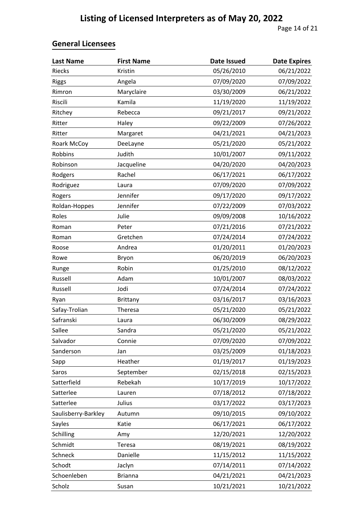| <b>Last Name</b>    | <b>First Name</b> | <b>Date Issued</b> | <b>Date Expires</b> |
|---------------------|-------------------|--------------------|---------------------|
| Riecks              | Kristin           | 05/26/2010         | 06/21/2022          |
| <b>Riggs</b>        | Angela            | 07/09/2020         | 07/09/2022          |
| Rimron              | Maryclaire        | 03/30/2009         | 06/21/2022          |
| Riscili             | Kamila            | 11/19/2020         | 11/19/2022          |
| Ritchey             | Rebecca           | 09/21/2017         | 09/21/2022          |
| Ritter              | Haley             | 09/22/2009         | 07/26/2022          |
| Ritter              | Margaret          | 04/21/2021         | 04/21/2023          |
| Roark McCoy         | DeeLayne          | 05/21/2020         | 05/21/2022          |
| Robbins             | Judith            | 10/01/2007         | 09/11/2022          |
| Robinson            | Jacqueline        | 04/20/2020         | 04/20/2023          |
| Rodgers             | Rachel            | 06/17/2021         | 06/17/2022          |
| Rodriguez           | Laura             | 07/09/2020         | 07/09/2022          |
| Rogers              | Jennifer          | 09/17/2020         | 09/17/2022          |
| Roldan-Hoppes       | Jennifer          | 07/22/2009         | 07/03/2022          |
| Roles               | Julie             | 09/09/2008         | 10/16/2022          |
| Roman               | Peter             | 07/21/2016         | 07/21/2022          |
| Roman               | Gretchen          | 07/24/2014         | 07/24/2022          |
| Roose               | Andrea            | 01/20/2011         | 01/20/2023          |
| Rowe                | Bryon             | 06/20/2019         | 06/20/2023          |
| Runge               | Robin             | 01/25/2010         | 08/12/2022          |
| Russell             | Adam              | 10/01/2007         | 08/03/2022          |
| Russell             | Jodi              | 07/24/2014         | 07/24/2022          |
| Ryan                | <b>Brittany</b>   | 03/16/2017         | 03/16/2023          |
| Safay-Trolian       | Theresa           | 05/21/2020         | 05/21/2022          |
| Safranski           | Laura             | 06/30/2009         | 08/29/2022          |
| Sallee              | Sandra            | 05/21/2020         | 05/21/2022          |
| Salvador            | Connie            | 07/09/2020         | 07/09/2022          |
| Sanderson           | Jan               | 03/25/2009         | 01/18/2023          |
| Sapp                | Heather           | 01/19/2017         | 01/19/2023          |
| Saros               | September         | 02/15/2018         | 02/15/2023          |
| Satterfield         | Rebekah           | 10/17/2019         | 10/17/2022          |
| Satterlee           | Lauren            | 07/18/2012         | 07/18/2022          |
| Satterlee           | Julius            | 03/17/2022         | 03/17/2023          |
| Saulisberry-Barkley | Autumn            | 09/10/2015         | 09/10/2022          |
| Sayles              | Katie             | 06/17/2021         | 06/17/2022          |
| Schilling           | Amy               | 12/20/2021         | 12/20/2022          |
| Schmidt             | Teresa            | 08/19/2021         | 08/19/2022          |
| Schneck             | Danielle          | 11/15/2012         | 11/15/2022          |
| Schodt              | Jaclyn            | 07/14/2011         | 07/14/2022          |
| Schoenleben         | <b>Brianna</b>    | 04/21/2021         | 04/21/2023          |
| Scholz              | Susan             | 10/21/2021         | 10/21/2022          |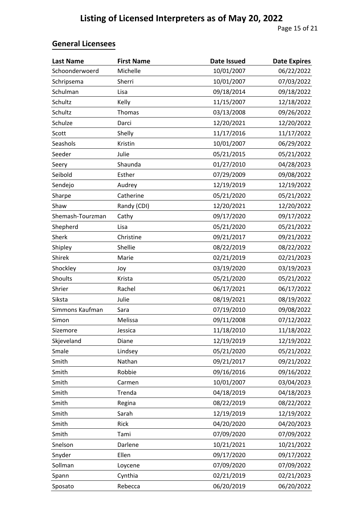| <b>Last Name</b> | <b>First Name</b> | <b>Date Issued</b> | <b>Date Expires</b> |
|------------------|-------------------|--------------------|---------------------|
| Schoonderwoerd   | Michelle          | 10/01/2007         | 06/22/2022          |
| Schripsema       | Sherri            | 10/01/2007         | 07/03/2022          |
| Schulman         | Lisa              | 09/18/2014         | 09/18/2022          |
| Schultz          | Kelly             | 11/15/2007         | 12/18/2022          |
| Schultz          | Thomas            | 03/13/2008         | 09/26/2022          |
| Schulze          | Darci             | 12/20/2021         | 12/20/2022          |
| Scott            | Shelly            | 11/17/2016         | 11/17/2022          |
| Seashols         | Kristin           | 10/01/2007         | 06/29/2022          |
| Seeder           | Julie             | 05/21/2015         | 05/21/2022          |
| Seery            | Shaunda           | 01/27/2010         | 04/28/2023          |
| Seibold          | Esther            | 07/29/2009         | 09/08/2022          |
| Sendejo          | Audrey            | 12/19/2019         | 12/19/2022          |
| Sharpe           | Catherine         | 05/21/2020         | 05/21/2022          |
| Shaw             | Randy (CDI)       | 12/20/2021         | 12/20/2022          |
| Shemash-Tourzman | Cathy             | 09/17/2020         | 09/17/2022          |
| Shepherd         | Lisa              | 05/21/2020         | 05/21/2022          |
| Sherk            | Christine         | 09/21/2017         | 09/21/2022          |
| Shipley          | Shellie           | 08/22/2019         | 08/22/2022          |
| Shirek           | Marie             | 02/21/2019         | 02/21/2023          |
| Shockley         | Joy               | 03/19/2020         | 03/19/2023          |
| Shoults          | Krista            | 05/21/2020         | 05/21/2022          |
| Shrier           | Rachel            | 06/17/2021         | 06/17/2022          |
| Siksta           | Julie             | 08/19/2021         | 08/19/2022          |
| Simmons Kaufman  | Sara              | 07/19/2010         | 09/08/2022          |
| Simon            | Melissa           | 09/11/2008         | 07/12/2022          |
| Sizemore         | Jessica           | 11/18/2010         | 11/18/2022          |
| Skjeveland       | Diane             | 12/19/2019         | 12/19/2022          |
| Smale            | Lindsey           | 05/21/2020         | 05/21/2022          |
| Smith            | Nathan            | 09/21/2017         | 09/21/2022          |
| Smith            | Robbie            | 09/16/2016         | 09/16/2022          |
| Smith            | Carmen            | 10/01/2007         | 03/04/2023          |
| Smith            | Trenda            | 04/18/2019         | 04/18/2023          |
| Smith            | Regina            | 08/22/2019         | 08/22/2022          |
| Smith            | Sarah             | 12/19/2019         | 12/19/2022          |
| Smith            | Rick              | 04/20/2020         | 04/20/2023          |
| Smith            | Tami              | 07/09/2020         | 07/09/2022          |
| Snelson          | Darlene           | 10/21/2021         | 10/21/2022          |
| Snyder           | Ellen             | 09/17/2020         | 09/17/2022          |
| Sollman          | Loycene           | 07/09/2020         | 07/09/2022          |
| Spann            | Cynthia           | 02/21/2019         | 02/21/2023          |
| Sposato          | Rebecca           | 06/20/2019         | 06/20/2022          |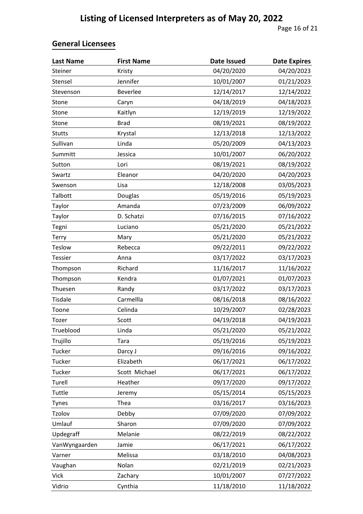| <b>Last Name</b> | <b>First Name</b> | <b>Date Issued</b> | <b>Date Expires</b> |
|------------------|-------------------|--------------------|---------------------|
| Steiner          | Kristy            | 04/20/2020         | 04/20/2023          |
| Stensel          | Jennifer          | 10/01/2007         | 01/21/2023          |
| Stevenson        | Beverlee          | 12/14/2017         | 12/14/2022          |
| Stone            | Caryn             | 04/18/2019         | 04/18/2023          |
| Stone            | Kaitlyn           | 12/19/2019         | 12/19/2022          |
| Stone            | <b>Brad</b>       | 08/19/2021         | 08/19/2022          |
| <b>Stutts</b>    | Krystal           | 12/13/2018         | 12/13/2022          |
| Sullivan         | Linda             | 05/20/2009         | 04/13/2023          |
| Summitt          | Jessica           | 10/01/2007         | 06/20/2022          |
| Sutton           | Lori              | 08/19/2021         | 08/19/2022          |
| Swartz           | Eleanor           | 04/20/2020         | 04/20/2023          |
| Swenson          | Lisa              | 12/18/2008         | 03/05/2023          |
| Talbott          | Douglas           | 05/19/2016         | 05/19/2023          |
| Taylor           | Amanda            | 07/23/2009         | 06/09/2022          |
| Taylor           | D. Schatzi        | 07/16/2015         | 07/16/2022          |
| Tegni            | Luciano           | 05/21/2020         | 05/21/2022          |
| Terry            | Mary              | 05/21/2020         | 05/21/2022          |
| <b>Teslow</b>    | Rebecca           | 09/22/2011         | 09/22/2022          |
| <b>Tessier</b>   | Anna              | 03/17/2022         | 03/17/2023          |
| Thompson         | Richard           | 11/16/2017         | 11/16/2022          |
| Thompson         | Kendra            | 01/07/2021         | 01/07/2023          |
| Thuesen          | Randy             | 03/17/2022         | 03/17/2023          |
| Tisdale          | Carmellla         | 08/16/2018         | 08/16/2022          |
| Toone            | Celinda           | 10/29/2007         | 02/28/2023          |
| Tozer            | Scott             | 04/19/2018         | 04/19/2023          |
| Trueblood        | Linda             | 05/21/2020         | 05/21/2022          |
| Trujillo         | Tara              | 05/19/2016         | 05/19/2023          |
| Tucker           | Darcy J           | 09/16/2016         | 09/16/2022          |
| Tucker           | Elizabeth         | 06/17/2021         | 06/17/2022          |
| Tucker           | Scott Michael     | 06/17/2021         | 06/17/2022          |
| Turell           | Heather           | 09/17/2020         | 09/17/2022          |
| Tuttle           | Jeremy            | 05/15/2014         | 05/15/2023          |
| Tynes            | Thea              | 03/16/2017         | 03/16/2023          |
| Tzolov           | Debby             | 07/09/2020         | 07/09/2022          |
| Umlauf           | Sharon            | 07/09/2020         | 07/09/2022          |
| Updegraff        | Melanie           | 08/22/2019         | 08/22/2022          |
| VanWyngaarden    | Jamie             | 06/17/2021         | 06/17/2022          |
| Varner           | Melissa           | 03/18/2010         | 04/08/2023          |
| Vaughan          | Nolan             | 02/21/2019         | 02/21/2023          |
| <b>Vick</b>      | Zachary           | 10/01/2007         | 07/27/2022          |
| Vidrio           | Cynthia           | 11/18/2010         | 11/18/2022          |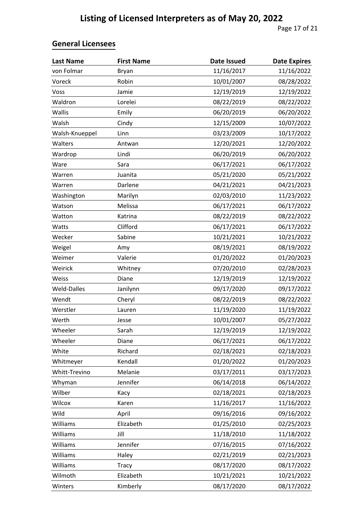| <b>Last Name</b> | <b>First Name</b> | <b>Date Issued</b> | <b>Date Expires</b> |
|------------------|-------------------|--------------------|---------------------|
| von Folmar       | Bryan             | 11/16/2017         | 11/16/2022          |
| Voreck           | Robin             | 10/01/2007         | 08/28/2022          |
| Voss             | Jamie             | 12/19/2019         | 12/19/2022          |
| Waldron          | Lorelei           | 08/22/2019         | 08/22/2022          |
| Wallis           | Emily             | 06/20/2019         | 06/20/2022          |
| Walsh            | Cindy             | 12/15/2009         | 10/07/2022          |
| Walsh-Knueppel   | Linn              | 03/23/2009         | 10/17/2022          |
| Walters          | Antwan            | 12/20/2021         | 12/20/2022          |
| Wardrop          | Lindi             | 06/20/2019         | 06/20/2022          |
| Ware             | Sara              | 06/17/2021         | 06/17/2022          |
| Warren           | Juanita           | 05/21/2020         | 05/21/2022          |
| Warren           | Darlene           | 04/21/2021         | 04/21/2023          |
| Washington       | Marilyn           | 02/03/2010         | 11/23/2022          |
| Watson           | Melissa           | 06/17/2021         | 06/17/2022          |
| Watton           | Katrina           | 08/22/2019         | 08/22/2022          |
| Watts            | Clifford          | 06/17/2021         | 06/17/2022          |
| Wecker           | Sabine            | 10/21/2021         | 10/21/2022          |
| Weigel           | Amy               | 08/19/2021         | 08/19/2022          |
| Weimer           | Valerie           | 01/20/2022         | 01/20/2023          |
| Weirick          | Whitney           | 07/20/2010         | 02/28/2023          |
| Weiss            | Diane             | 12/19/2019         | 12/19/2022          |
| Weld-Dalles      | Janilynn          | 09/17/2020         | 09/17/2022          |
| Wendt            | Cheryl            | 08/22/2019         | 08/22/2022          |
| Werstler         | Lauren            | 11/19/2020         | 11/19/2022          |
| Werth            | Jesse             | 10/01/2007         | 05/27/2022          |
| Wheeler          | Sarah             | 12/19/2019         | 12/19/2022          |
| Wheeler          | Diane             | 06/17/2021         | 06/17/2022          |
| White            | Richard           | 02/18/2021         | 02/18/2023          |
| Whitmeyer        | Kendall           | 01/20/2022         | 01/20/2023          |
| Whitt-Trevino    | Melanie           | 03/17/2011         | 03/17/2023          |
| Whyman           | Jennifer          | 06/14/2018         | 06/14/2022          |
| Wilber           | Kacy              | 02/18/2021         | 02/18/2023          |
| Wilcox           | Karen             | 11/16/2017         | 11/16/2022          |
| Wild             | April             | 09/16/2016         | 09/16/2022          |
| Williams         | Elizabeth         | 01/25/2010         | 02/25/2023          |
| Williams         | Jill              | 11/18/2010         | 11/18/2022          |
| Williams         | Jennifer          | 07/16/2015         | 07/16/2022          |
| Williams         | Haley             | 02/21/2019         | 02/21/2023          |
| Williams         | <b>Tracy</b>      | 08/17/2020         | 08/17/2022          |
| Wilmoth          | Elizabeth         | 10/21/2021         | 10/21/2022          |
| Winters          | Kimberly          | 08/17/2020         | 08/17/2022          |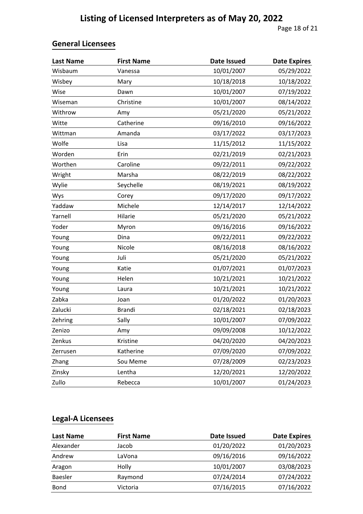| <b>Last Name</b> | <b>First Name</b> | <b>Date Issued</b> | <b>Date Expires</b> |
|------------------|-------------------|--------------------|---------------------|
| Wisbaum          | Vanessa           | 10/01/2007         | 05/29/2022          |
| Wisbey           | Mary              | 10/18/2018         | 10/18/2022          |
| Wise             | Dawn              | 10/01/2007         | 07/19/2022          |
| Wiseman          | Christine         | 10/01/2007         | 08/14/2022          |
| Withrow          | Amy               | 05/21/2020         | 05/21/2022          |
| Witte            | Catherine         | 09/16/2010         | 09/16/2022          |
| Wittman          | Amanda            | 03/17/2022         | 03/17/2023          |
| Wolfe            | Lisa              | 11/15/2012         | 11/15/2022          |
| Worden           | Erin              | 02/21/2019         | 02/21/2023          |
| Worthen          | Caroline          | 09/22/2011         | 09/22/2022          |
| Wright           | Marsha            | 08/22/2019         | 08/22/2022          |
| Wylie            | Seychelle         | 08/19/2021         | 08/19/2022          |
| Wys              | Corey             | 09/17/2020         | 09/17/2022          |
| Yaddaw           | Michele           | 12/14/2017         | 12/14/2022          |
| Yarnell          | Hilarie           | 05/21/2020         | 05/21/2022          |
| Yoder            | Myron             | 09/16/2016         | 09/16/2022          |
| Young            | Dina              | 09/22/2011         | 09/22/2022          |
| Young            | Nicole            | 08/16/2018         | 08/16/2022          |
| Young            | Juli              | 05/21/2020         | 05/21/2022          |
| Young            | Katie             | 01/07/2021         | 01/07/2023          |
| Young            | Helen             | 10/21/2021         | 10/21/2022          |
| Young            | Laura             | 10/21/2021         | 10/21/2022          |
| Zabka            | Joan              | 01/20/2022         | 01/20/2023          |
| Zalucki          | <b>Brandi</b>     | 02/18/2021         | 02/18/2023          |
| Zehring          | Sally             | 10/01/2007         | 07/09/2022          |
| Zenizo           | Amy               | 09/09/2008         | 10/12/2022          |
| Zenkus           | Kristine          | 04/20/2020         | 04/20/2023          |
| Zerrusen         | Katherine         | 07/09/2020         | 07/09/2022          |
| Zhang            | Sou Meme          | 07/28/2009         | 02/23/2023          |
| Zinsky           | Lentha            | 12/20/2021         | 12/20/2022          |
| Zullo            | Rebecca           | 10/01/2007         | 01/24/2023          |

#### **Legal-A Licensees**

| Last Name | <b>First Name</b> | Date Issued | <b>Date Expires</b> |
|-----------|-------------------|-------------|---------------------|
| Alexander | Jacob             | 01/20/2022  | 01/20/2023          |
| Andrew    | LaVona            | 09/16/2016  | 09/16/2022          |
| Aragon    | Holly             | 10/01/2007  | 03/08/2023          |
| Baesler   | Raymond           | 07/24/2014  | 07/24/2022          |
| Bond      | Victoria          | 07/16/2015  | 07/16/2022          |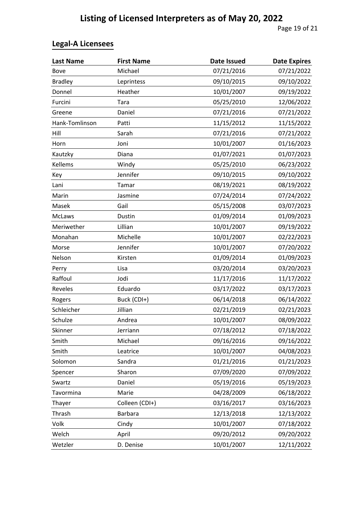# **Legal-A Licensees**

| <b>Last Name</b> | <b>First Name</b> | <b>Date Issued</b> | <b>Date Expires</b> |
|------------------|-------------------|--------------------|---------------------|
| Bove             | Michael           | 07/21/2016         | 07/21/2022          |
| <b>Bradley</b>   | Leprintess        | 09/10/2015         | 09/10/2022          |
| Donnel           | Heather           | 10/01/2007         | 09/19/2022          |
| Furcini          | Tara              | 05/25/2010         | 12/06/2022          |
| Greene           | Daniel            | 07/21/2016         | 07/21/2022          |
| Hank-Tomlinson   | Patti             | 11/15/2012         | 11/15/2022          |
| Hill             | Sarah             | 07/21/2016         | 07/21/2022          |
| Horn             | Joni              | 10/01/2007         | 01/16/2023          |
| Kautzky          | Diana             | 01/07/2021         | 01/07/2023          |
| Kellems          | Windy             | 05/25/2010         | 06/23/2022          |
| Key              | Jennifer          | 09/10/2015         | 09/10/2022          |
| Lani             | Tamar             | 08/19/2021         | 08/19/2022          |
| Marin            | Jasmine           | 07/24/2014         | 07/24/2022          |
| Masek            | Gail              | 05/15/2008         | 03/07/2023          |
| McLaws           | Dustin            | 01/09/2014         | 01/09/2023          |
| Meriwether       | Lillian           | 10/01/2007         | 09/19/2022          |
| Monahan          | Michelle          | 10/01/2007         | 02/22/2023          |
| Morse            | Jennifer          | 10/01/2007         | 07/20/2022          |
| Nelson           | Kirsten           | 01/09/2014         | 01/09/2023          |
| Perry            | Lisa              | 03/20/2014         | 03/20/2023          |
| Raffoul          | Jodi              | 11/17/2016         | 11/17/2022          |
| Reveles          | Eduardo           | 03/17/2022         | 03/17/2023          |
| Rogers           | Buck (CDI+)       | 06/14/2018         | 06/14/2022          |
| Schleicher       | Jillian           | 02/21/2019         | 02/21/2023          |
| Schulze          | Andrea            | 10/01/2007         | 08/09/2022          |
| Skinner          | Jerriann          | 07/18/2012         | 07/18/2022          |
| Smith            | Michael           | 09/16/2016         | 09/16/2022          |
| Smith            | Leatrice          | 10/01/2007         | 04/08/2023          |
| Solomon          | Sandra            | 01/21/2016         | 01/21/2023          |
| Spencer          | Sharon            | 07/09/2020         | 07/09/2022          |
| Swartz           | Daniel            | 05/19/2016         | 05/19/2023          |
| Tavormina        | Marie             | 04/28/2009         | 06/18/2022          |
| Thayer           | Colleen (CDI+)    | 03/16/2017         | 03/16/2023          |
| Thrash           | <b>Barbara</b>    | 12/13/2018         | 12/13/2022          |
| Volk             | Cindy             | 10/01/2007         | 07/18/2022          |
| Welch            | April             | 09/20/2012         | 09/20/2022          |
| Wetzler          | D. Denise         | 10/01/2007         | 12/11/2022          |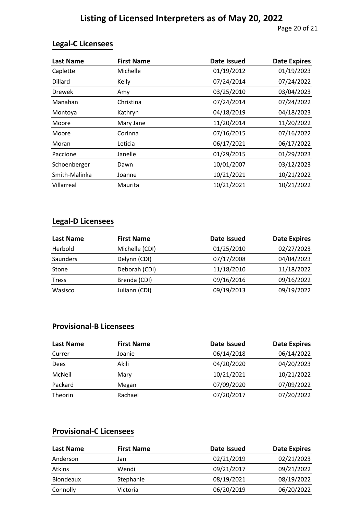#### **Legal-C Licensees**

| <b>Last Name</b> | <b>First Name</b> | <b>Date Issued</b> | <b>Date Expires</b> |
|------------------|-------------------|--------------------|---------------------|
| Caplette         | Michelle          | 01/19/2012         | 01/19/2023          |
| Dillard          | Kelly             | 07/24/2014         | 07/24/2022          |
| <b>Drewek</b>    | Amy               | 03/25/2010         | 03/04/2023          |
| Manahan          | Christina         | 07/24/2014         | 07/24/2022          |
| Montoya          | Kathryn           | 04/18/2019         | 04/18/2023          |
| Moore            | Mary Jane         | 11/20/2014         | 11/20/2022          |
| Moore            | Corinna           | 07/16/2015         | 07/16/2022          |
| Moran            | Leticia           | 06/17/2021         | 06/17/2022          |
| Paccione         | Janelle           | 01/29/2015         | 01/29/2023          |
| Schoenberger     | Dawn              | 10/01/2007         | 03/12/2023          |
| Smith-Malinka    | Joanne            | 10/21/2021         | 10/21/2022          |
| Villarreal       | Maurita           | 10/21/2021         | 10/21/2022          |

#### **Legal-D Licensees**

| <b>Last Name</b> | <b>First Name</b> | Date Issued | <b>Date Expires</b> |
|------------------|-------------------|-------------|---------------------|
| Herbold          | Michelle (CDI)    | 01/25/2010  | 02/27/2023          |
| Saunders         | Delynn (CDI)      | 07/17/2008  | 04/04/2023          |
| Stone            | Deborah (CDI)     | 11/18/2010  | 11/18/2022          |
| <b>Tress</b>     | Brenda (CDI)      | 09/16/2016  | 09/16/2022          |
| Wasisco          | Juliann (CDI)     | 09/19/2013  | 09/19/2022          |

#### **Provisional-B Licensees**

| <b>First Name</b> | Date Issued | <b>Date Expires</b> |
|-------------------|-------------|---------------------|
| Joanie            | 06/14/2018  | 06/14/2022          |
| Akili             | 04/20/2020  | 04/20/2023          |
| Mary              | 10/21/2021  | 10/21/2022          |
| Megan             | 07/09/2020  | 07/09/2022          |
| Rachael           | 07/20/2017  | 07/20/2022          |
|                   |             |                     |

#### **Provisional-C Licensees**

| Last Name        | <b>First Name</b> | Date Issued | <b>Date Expires</b> |
|------------------|-------------------|-------------|---------------------|
| Anderson         | Jan               | 02/21/2019  | 02/21/2023          |
| <b>Atkins</b>    | Wendi             | 09/21/2017  | 09/21/2022          |
| <b>Blondeaux</b> | Stephanie         | 08/19/2021  | 08/19/2022          |
| Connolly         | Victoria          | 06/20/2019  | 06/20/2022          |
|                  |                   |             |                     |